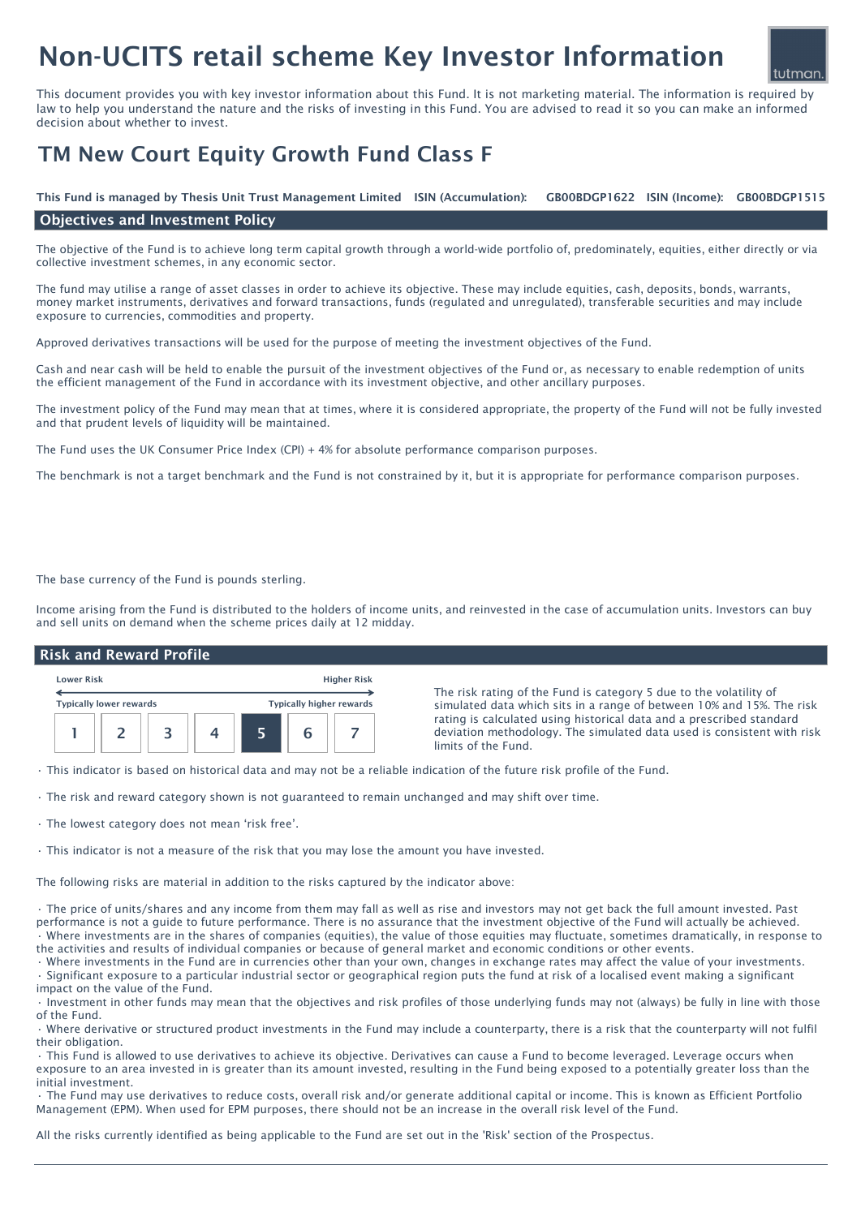# Non-UCITS retail scheme Key Investor Information



This document provides you with key investor information about this Fund. It is not marketing material. The information is required by law to help you understand the nature and the risks of investing in this Fund. You are advised to read it so you can make an informed decision about whether to invest.

## TM New Court Equity Growth Fund Class F

GB00BDGP1622 ISIN (Income): GB00BDGP1515 This Fund is managed by Thesis Unit Trust Management Limited ISIN (Accumulation):

#### Objectives and Investment Policy

The objective of the Fund is to achieve long term capital growth through a world-wide portfolio of, predominately, equities, either directly or via collective investment schemes, in any economic sector.

The fund may utilise a range of asset classes in order to achieve its objective. These may include equities, cash, deposits, bonds, warrants, money market instruments, derivatives and forward transactions, funds (regulated and unregulated), transferable securities and may include exposure to currencies, commodities and property.

Approved derivatives transactions will be used for the purpose of meeting the investment objectives of the Fund.

Cash and near cash will be held to enable the pursuit of the investment objectives of the Fund or, as necessary to enable redemption of units the efficient management of the Fund in accordance with its investment objective, and other ancillary purposes.

The investment policy of the Fund may mean that at times, where it is considered appropriate, the property of the Fund will not be fully invested and that prudent levels of liquidity will be maintained.

The Fund uses the UK Consumer Price Index (CPI) + 4% for absolute performance comparison purposes.

The benchmark is not a target benchmark and the Fund is not constrained by it, but it is appropriate for performance comparison purposes.

The base currency of the Fund is pounds sterling.

Income arising from the Fund is distributed to the holders of income units, and reinvested in the case of accumulation units. Investors can buy and sell units on demand when the scheme prices daily at 12 midday.

### Risk and Reward Profile



The risk rating of the Fund is category 5 due to the volatility of simulated data which sits in a range of between 10% and 15%. The risk rating is calculated using historical data and a prescribed standard deviation methodology. The simulated data used is consistent with risk limits of the Fund.

• This indicator is based on historical data and may not be a reliable indication of the future risk profile of the Fund.

- The risk and reward category shown is not guaranteed to remain unchanged and may shift over time.
- The lowest category does not mean 'risk free'.
- This indicator is not a measure of the risk that you may lose the amount you have invested.

The following risks are material in addition to the risks captured by the indicator above:

• The price of units/shares and any income from them may fall as well as rise and investors may not get back the full amount invested. Past performance is not a guide to future performance. There is no assurance that the investment objective of the Fund will actually be achieved. • Where investments are in the shares of companies (equities), the value of those equities may fluctuate, sometimes dramatically, in response to the activities and results of individual companies or because of general market and economic conditions or other events.

• Where investments in the Fund are in currencies other than your own, changes in exchange rates may affect the value of your investments. • Significant exposure to a particular industrial sector or geographical region puts the fund at risk of a localised event making a significant impact on the value of the Fund.

• Investment in other funds may mean that the objectives and risk profiles of those underlying funds may not (always) be fully in line with those of the Fund.

• Where derivative or structured product investments in the Fund may include a counterparty, there is a risk that the counterparty will not fulfil their obligation.

• This Fund is allowed to use derivatives to achieve its objective. Derivatives can cause a Fund to become leveraged. Leverage occurs when exposure to an area invested in is greater than its amount invested, resulting in the Fund being exposed to a potentially greater loss than the initial investment.

• The Fund may use derivatives to reduce costs, overall risk and/or generate additional capital or income. This is known as Efficient Portfolio Management (EPM). When used for EPM purposes, there should not be an increase in the overall risk level of the Fund.

All the risks currently identified as being applicable to the Fund are set out in the 'Risk' section of the Prospectus.